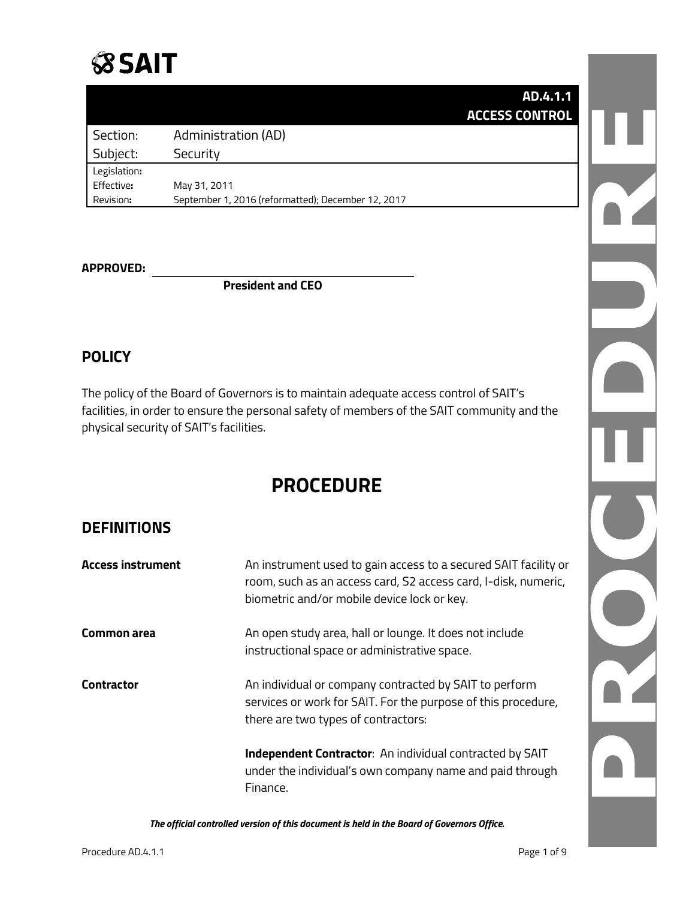

|                       | AD.4.1.1 |
|-----------------------|----------|
| <b>ACCESS CONTROL</b> |          |

|              |                                                    | дин э |
|--------------|----------------------------------------------------|-------|
| Section:     | Administration (AD)                                |       |
| Subject:     | Security                                           |       |
| Legislation: |                                                    |       |
| Effective:   | May 31, 2011                                       |       |
| Revision:    | September 1, 2016 (reformatted); December 12, 2017 |       |

## **APPROVED:**

**President and CEO**

#### **POLICY**

The policy of the Board of Governors is to maintain adequate access control of SAIT's facilities, in order to ensure the personal safety of members of the SAIT community and the physical security of SAIT's facilities.

## **PROCEDURE**

#### **DEFINITIONS**

| <b>Access instrument</b> | An instrument used to gain access to a secured SAIT facility or<br>room, such as an access card, S2 access card, I-disk, numeric,<br>biometric and/or mobile device lock or key. |
|--------------------------|----------------------------------------------------------------------------------------------------------------------------------------------------------------------------------|
| Common area              | An open study area, hall or lounge. It does not include<br>instructional space or administrative space.                                                                          |
| <b>Contractor</b>        | An individual or company contracted by SAIT to perform<br>services or work for SAIT. For the purpose of this procedure,<br>there are two types of contractors:                   |
|                          | <b>Independent Contractor:</b> An individual contracted by SAIT<br>under the individual's own company name and paid through<br>Finance.                                          |

*The official controlled version of this document is held in the Board of Governors Office.*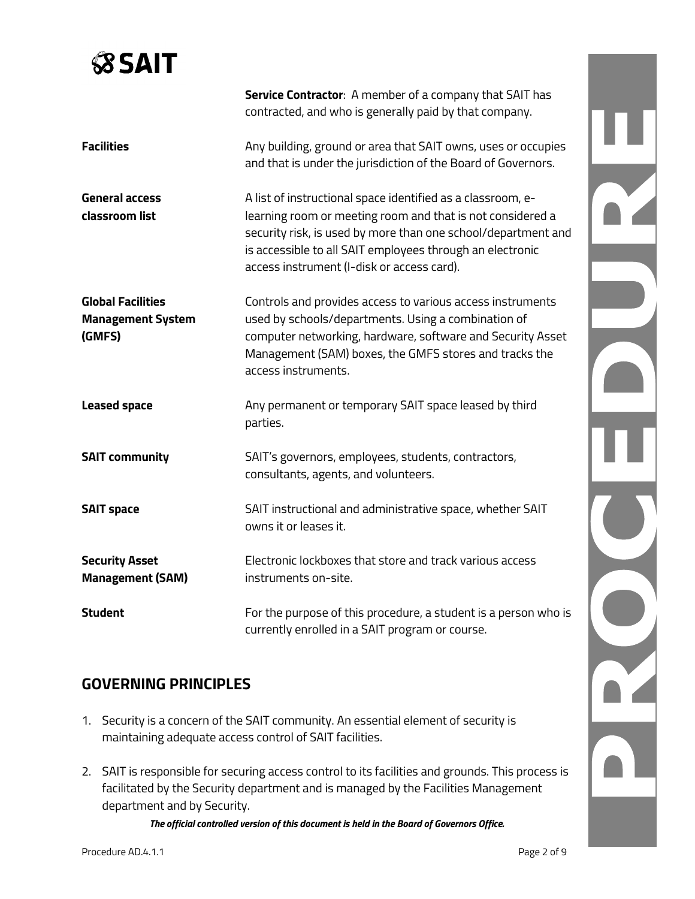# **SSAIT**

|                                                                | Service Contractor: A member of a company that SAIT has<br>contracted, and who is generally paid by that company.                                                                                                                                                                                     |  |
|----------------------------------------------------------------|-------------------------------------------------------------------------------------------------------------------------------------------------------------------------------------------------------------------------------------------------------------------------------------------------------|--|
| <b>Facilities</b>                                              | Any building, ground or area that SAIT owns, uses or occupies<br>and that is under the jurisdiction of the Board of Governors.                                                                                                                                                                        |  |
| <b>General access</b><br>classroom list                        | A list of instructional space identified as a classroom, e-<br>learning room or meeting room and that is not considered a<br>security risk, is used by more than one school/department and<br>is accessible to all SAIT employees through an electronic<br>access instrument (I-disk or access card). |  |
| <b>Global Facilities</b><br><b>Management System</b><br>(GMFS) | Controls and provides access to various access instruments<br>used by schools/departments. Using a combination of<br>computer networking, hardware, software and Security Asset<br>Management (SAM) boxes, the GMFS stores and tracks the<br>access instruments.                                      |  |
| <b>Leased space</b>                                            | Any permanent or temporary SAIT space leased by third<br>parties.                                                                                                                                                                                                                                     |  |
| <b>SAIT community</b>                                          | SAIT's governors, employees, students, contractors,<br>consultants, agents, and volunteers.                                                                                                                                                                                                           |  |
| <b>SAIT space</b>                                              | SAIT instructional and administrative space, whether SAIT<br>owns it or leases it.                                                                                                                                                                                                                    |  |
| <b>Security Asset</b><br><b>Management (SAM)</b>               | Electronic lockboxes that store and track various access<br>instruments on-site.                                                                                                                                                                                                                      |  |
| <b>Student</b>                                                 | For the purpose of this procedure, a student is a person who is<br>currently enrolled in a SAIT program or course.                                                                                                                                                                                    |  |

## **GOVERNING PRINCIPLES**

- 1. Security is a concern of the SAIT community. An essential element of security is maintaining adequate access control of SAIT facilities.
- 2. SAIT is responsible for securing access control to its facilities and grounds. This process is facilitated by the Security department and is managed by the Facilities Management department and by Security.

*The official controlled version of this document is held in the Board of Governors Office.*

A<br>A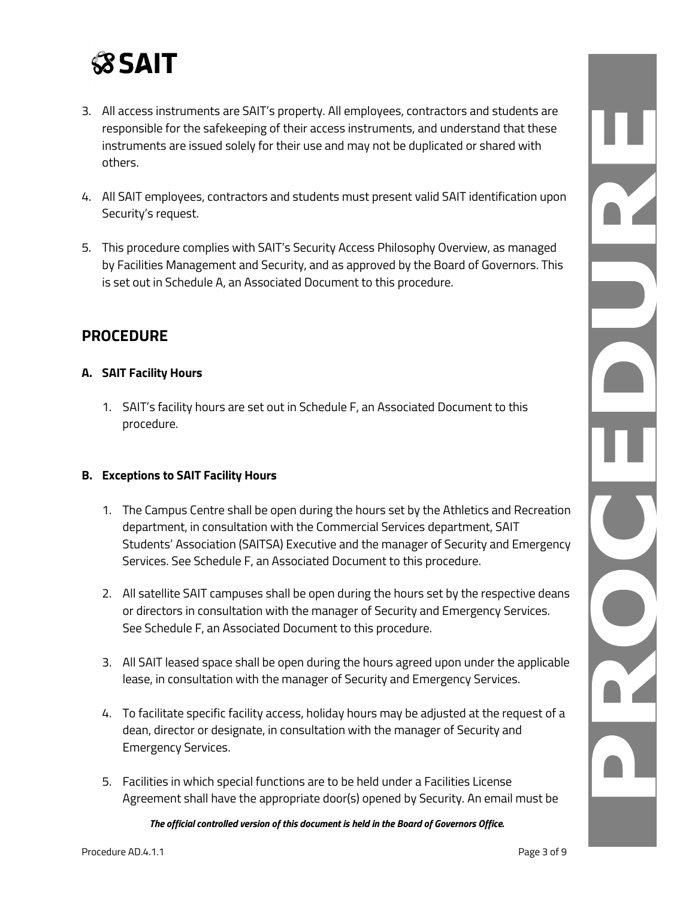

- 3. All access instruments are SAIT's property. All employees, contractors and students are responsible for the safekeeping of their access instruments, and understand that these instruments are issued solely for their use and may not be duplicated or shared with others.
- 4. All SAIT employees, contractors and students must present valid SAIT identification upon Security's request.
- 5. This procedure complies with SAIT's Security Access Philosophy Overview, as managed by Facilities Management and Security, and as approved by the Board of Governors. This is set out in Schedule A, an Associated Document to this procedure.

### **PROCEDURE**

#### **A. SAIT Facility Hours**

1. SAIT's facility hours are set out in Schedule F, an Associated Document to this procedure.

#### **B. Exceptions to SAIT Facility Hours**

- 1. The Campus Centre shall be open during the hours set by the Athletics and Recreation department, in consultation with the Commercial Services department, SAIT Students' Association (SAITSA) Executive and the manager of Security and Emergency Services. See Schedule F, an Associated Document to this procedure.
- 2. All satellite SAIT campuses shall be open during the hours set by the respective deans or directors in consultation with the manager of Security and Emergency Services. See Schedule F, an Associated Document to this procedure.
- 3. All SAIT leased space shall be open during the hours agreed upon under the applicable lease, in consultation with the manager of Security and Emergency Services.
- 4. To facilitate specific facility access, holiday hours may be adjusted at the request of a dean, director or designate, in consultation with the manager of Security and Emergency Services.
- 5. Facilities in which special functions are to be held under a Facilities License Agreement shall have the appropriate door(s) opened by Security. An email must be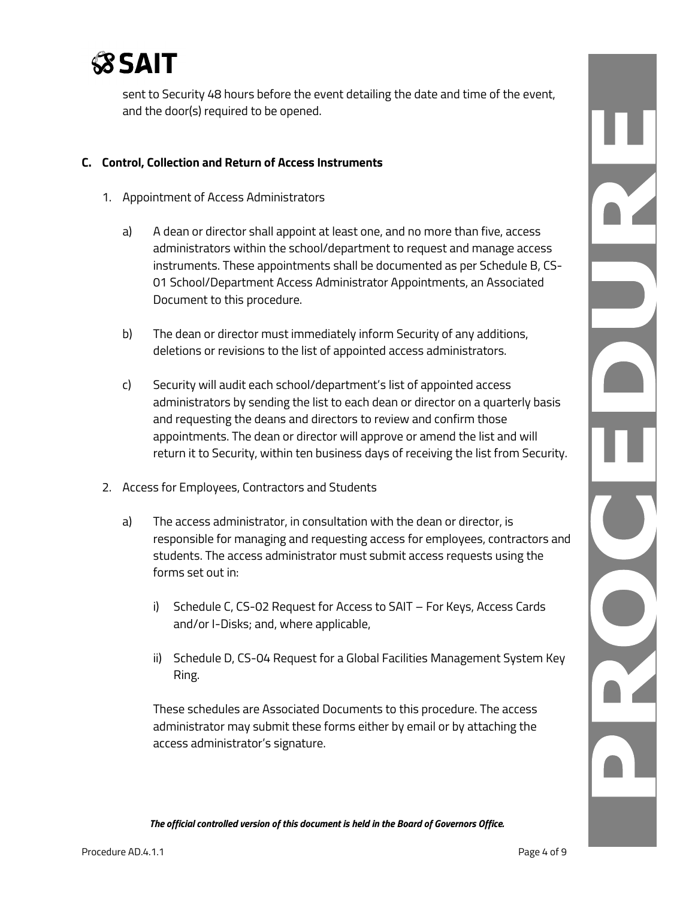

sent to Security 48 hours before the event detailing the date and time of the event, and the door(s) required to be opened.

#### **C. Control, Collection and Return of Access Instruments**

- 1. Appointment of Access Administrators
	- a) A dean or director shall appoint at least one, and no more than five, access administrators within the school/department to request and manage access instruments. These appointments shall be documented as per Schedule B, CS-01 School/Department Access Administrator Appointments, an Associated Document to this procedure.
	- b) The dean or director must immediately inform Security of any additions, deletions or revisions to the list of appointed access administrators.
	- c) Security will audit each school/department's list of appointed access administrators by sending the list to each dean or director on a quarterly basis and requesting the deans and directors to review and confirm those appointments. The dean or director will approve or amend the list and will return it to Security, within ten business days of receiving the list from Security.
- 2. Access for Employees, Contractors and Students
	- a) The access administrator, in consultation with the dean or director, is responsible for managing and requesting access for employees, contractors and students. The access administrator must submit access requests using the forms set out in:
		- i) Schedule C, CS-02 Request for Access to SAIT For Keys, Access Cards and/or I-Disks; and, where applicable,
		- ii) Schedule D, CS-04 Request for a Global Facilities Management System Key Ring.

These schedules are Associated Documents to this procedure. The access administrator may submit these forms either by email or by attaching the access administrator's signature.

n.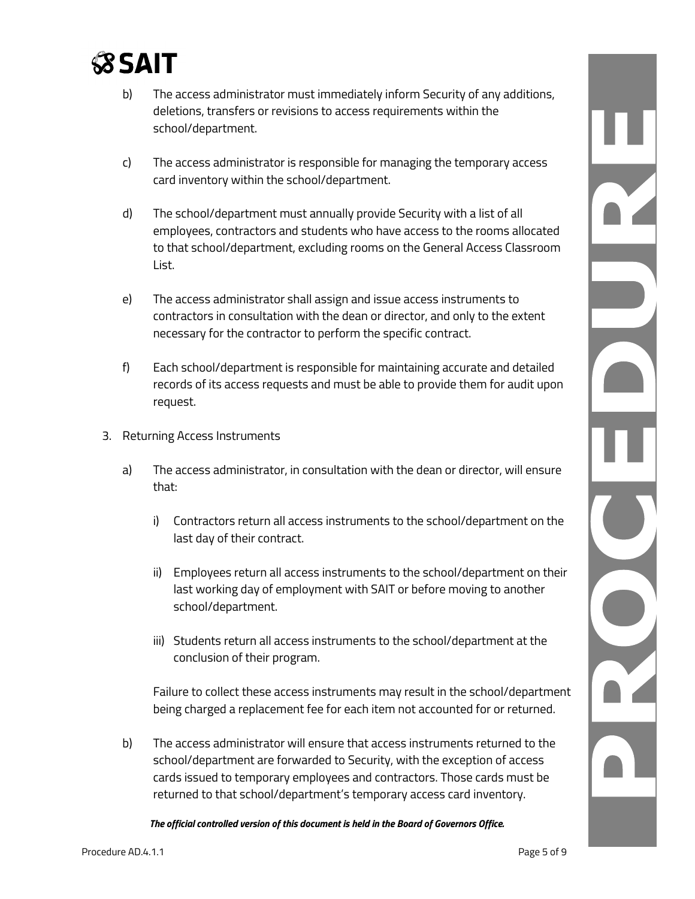

- b) The access administrator must immediately inform Security of any additions, deletions, transfers or revisions to access requirements within the school/department.
- c) The access administrator is responsible for managing the temporary access card inventory within the school/department.
- d) The school/department must annually provide Security with a list of all employees, contractors and students who have access to the rooms allocated to that school/department, excluding rooms on the General Access Classroom List.
- e) The access administrator shall assign and issue access instruments to contractors in consultation with the dean or director, and only to the extent necessary for the contractor to perform the specific contract.
- f) Each school/department is responsible for maintaining accurate and detailed records of its access requests and must be able to provide them for audit upon request.
- 3. Returning Access Instruments
	- a) The access administrator, in consultation with the dean or director, will ensure that:
		- i) Contractors return all access instruments to the school/department on the last day of their contract.
		- ii) Employees return all access instruments to the school/department on their last working day of employment with SAIT or before moving to another school/department.
		- iii) Students return all access instruments to the school/department at the conclusion of their program.

Failure to collect these access instruments may result in the school/department being charged a replacement fee for each item not accounted for or returned.

b) The access administrator will ensure that access instruments returned to the school/department are forwarded to Security, with the exception of access cards issued to temporary employees and contractors. Those cards must be returned to that school/department's temporary access card inventory.

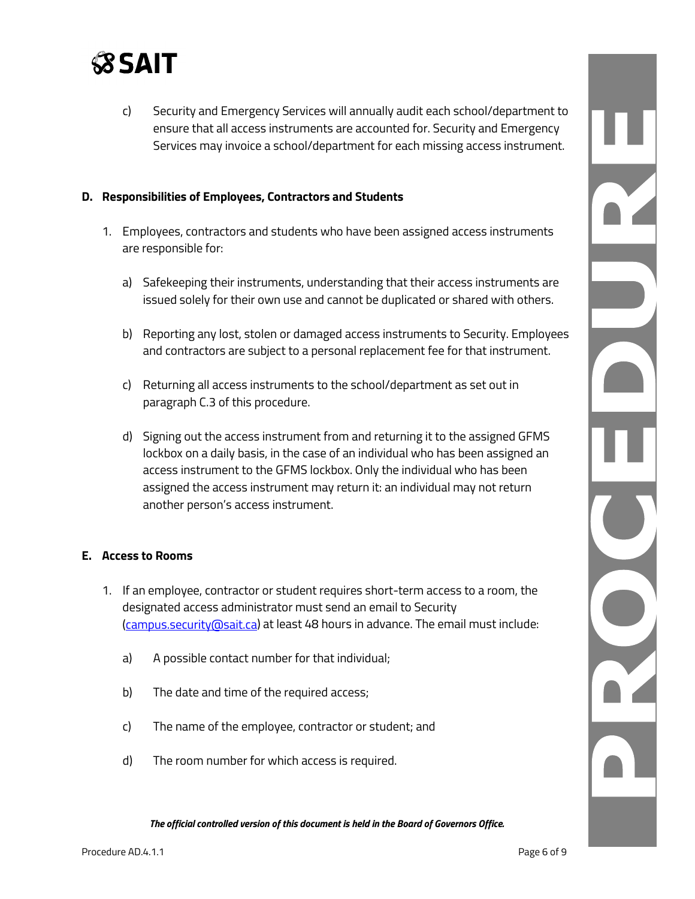

c) Security and Emergency Services will annually audit each school/department to ensure that all access instruments are accounted for. Security and Emergency Services may invoice a school/department for each missing access instrument.

#### **D. Responsibilities of Employees, Contractors and Students**

- 1. Employees, contractors and students who have been assigned access instruments are responsible for:
	- a) Safekeeping their instruments, understanding that their access instruments are issued solely for their own use and cannot be duplicated or shared with others.
	- b) Reporting any lost, stolen or damaged access instruments to Security. Employees and contractors are subject to a personal replacement fee for that instrument.
	- c) Returning all access instruments to the school/department as set out in paragraph C.3 of this procedure.
	- d) Signing out the access instrument from and returning it to the assigned GFMS lockbox on a daily basis, in the case of an individual who has been assigned an access instrument to the GFMS lockbox. Only the individual who has been assigned the access instrument may return it: an individual may not return another person's access instrument.

#### **E. Access to Rooms**

- 1. If an employee, contractor or student requires short-term access to a room, the designated access administrator must send an email to Security [\(campus.security@sait.ca\)](mailto:campus.security@sait.ca) at least 48 hours in advance. The email must include:
	- a) A possible contact number for that individual;
	- b) The date and time of the required access;
	- c) The name of the employee, contractor or student; and
	- d) The room number for which access is required.

N. NACIE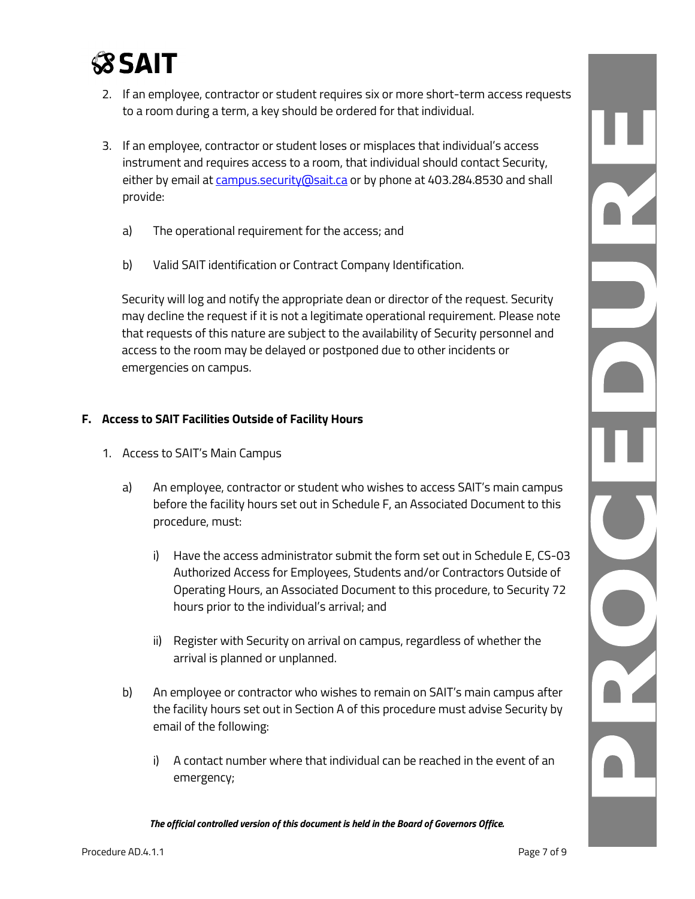

- 2. If an employee, contractor or student requires six or more short-term access requests to a room during a term, a key should be ordered for that individual.
- 3. If an employee, contractor or student loses or misplaces that individual's access instrument and requires access to a room, that individual should contact Security, either by email at [campus.security@sait.ca](mailto:campus.security@sait.ca) or by phone at 403.284.8530 and shall provide:
	- a) The operational requirement for the access; and
	- b) Valid SAIT identification or Contract Company Identification.

Security will log and notify the appropriate dean or director of the request. Security may decline the request if it is not a legitimate operational requirement. Please note that requests of this nature are subject to the availability of Security personnel and access to the room may be delayed or postponed due to other incidents or emergencies on campus.

#### **F. Access to SAIT Facilities Outside of Facility Hours**

- 1. Access to SAIT's Main Campus
	- a) An employee, contractor or student who wishes to access SAIT's main campus before the facility hours set out in Schedule F, an Associated Document to this procedure, must:
		- i) Have the access administrator submit the form set out in Schedule E, CS-03 Authorized Access for Employees, Students and/or Contractors Outside of Operating Hours, an Associated Document to this procedure, to Security 72 hours prior to the individual's arrival; and
		- ii) Register with Security on arrival on campus, regardless of whether the arrival is planned or unplanned.
	- b) An employee or contractor who wishes to remain on SAIT's main campus after the facility hours set out in Section A of this procedure must advise Security by email of the following:
		- i) A contact number where that individual can be reached in the event of an emergency;

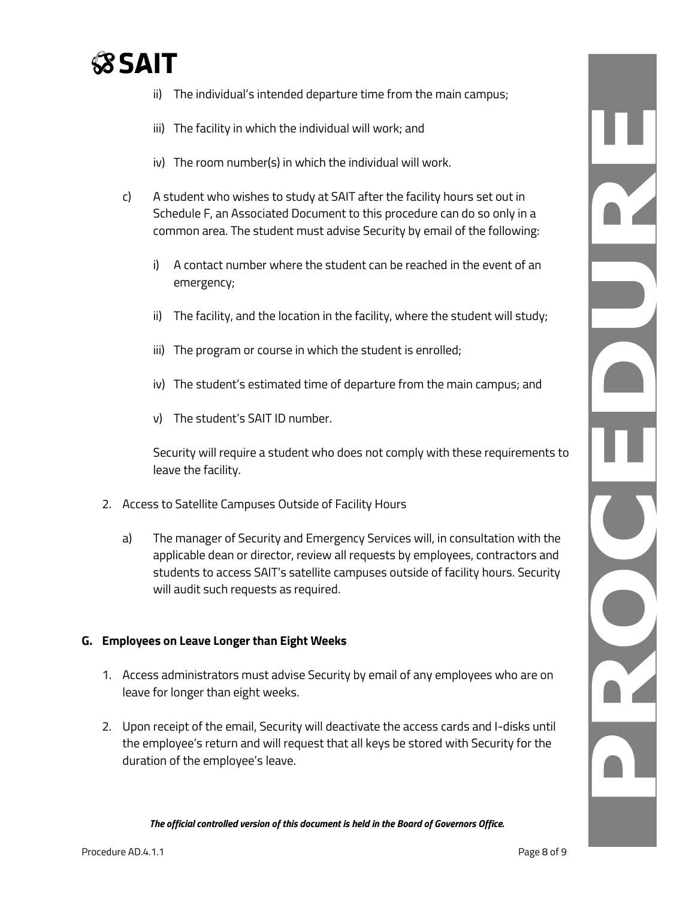# **SSAIT**

- ii) The individual's intended departure time from the main campus;
- iii) The facility in which the individual will work; and
- iv) The room number(s) in which the individual will work.
- c) A student who wishes to study at SAIT after the facility hours set out in Schedule F, an Associated Document to this procedure can do so only in a common area. The student must advise Security by email of the following:
	- i) A contact number where the student can be reached in the event of an emergency;
	- ii) The facility, and the location in the facility, where the student will study;
	- iii) The program or course in which the student is enrolled;
	- iv) The student's estimated time of departure from the main campus; and
	- v) The student's SAIT ID number.

Security will require a student who does not comply with these requirements to leave the facility.

- 2. Access to Satellite Campuses Outside of Facility Hours
	- a) The manager of Security and Emergency Services will, in consultation with the applicable dean or director, review all requests by employees, contractors and students to access SAIT's satellite campuses outside of facility hours. Security will audit such requests as required.

#### **G. Employees on Leave Longer than Eight Weeks**

- 1. Access administrators must advise Security by email of any employees who are on leave for longer than eight weeks.
- 2. Upon receipt of the email, Security will deactivate the access cards and I-disks until the employee's return and will request that all keys be stored with Security for the duration of the employee's leave.